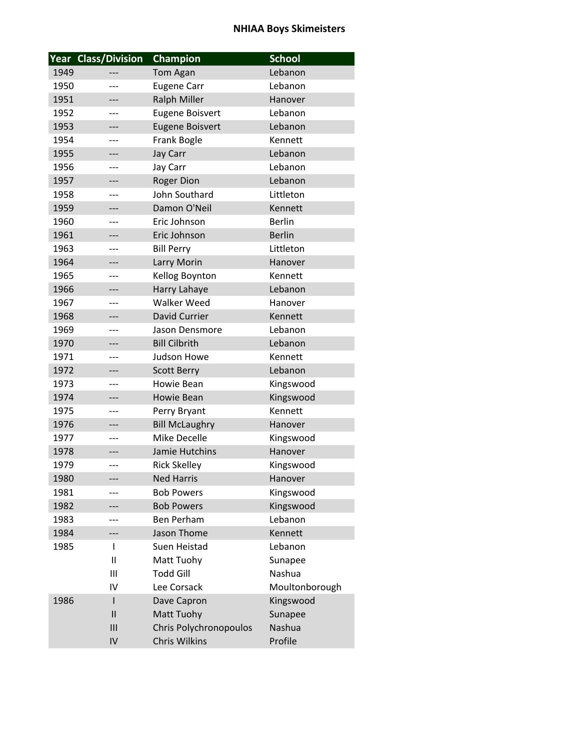|      | Year Class/Division | <b>Champion</b>        | <b>School</b>  |
|------|---------------------|------------------------|----------------|
| 1949 |                     | Tom Agan               | Lebanon        |
| 1950 | ---                 | <b>Eugene Carr</b>     | Lebanon        |
| 1951 |                     | <b>Ralph Miller</b>    | Hanover        |
| 1952 |                     | <b>Eugene Boisvert</b> | Lebanon        |
| 1953 | ---                 | <b>Eugene Boisvert</b> | Lebanon        |
| 1954 | $---$               | Frank Bogle            | Kennett        |
| 1955 | ---                 | Jay Carr               | Lebanon        |
| 1956 | ---                 | Jay Carr               | Lebanon        |
| 1957 |                     | <b>Roger Dion</b>      | Lebanon        |
| 1958 | ---                 | John Southard          | Littleton      |
| 1959 |                     | Damon O'Neil           | Kennett        |
| 1960 | ---                 | Eric Johnson           | <b>Berlin</b>  |
| 1961 | ---                 | Eric Johnson           | <b>Berlin</b>  |
| 1963 | $---$               | <b>Bill Perry</b>      | Littleton      |
| 1964 | ---                 | Larry Morin            | Hanover        |
| 1965 | ---                 | Kellog Boynton         | Kennett        |
| 1966 | ---                 | Harry Lahaye           | Lebanon        |
| 1967 | ---                 | Walker Weed            | Hanover        |
| 1968 | ---                 | <b>David Currier</b>   | Kennett        |
| 1969 | ---                 | Jason Densmore         | Lebanon        |
| 1970 | ---                 | <b>Bill Cilbrith</b>   | Lebanon        |
| 1971 | ---                 | Judson Howe            | Kennett        |
| 1972 | ---                 | <b>Scott Berry</b>     | Lebanon        |
| 1973 | ---                 | Howie Bean             | Kingswood      |
| 1974 | ---                 | <b>Howie Bean</b>      | Kingswood      |
| 1975 | ---                 | Perry Bryant           | Kennett        |
| 1976 | ---                 | <b>Bill McLaughry</b>  | Hanover        |
| 1977 | ---                 | Mike Decelle           | Kingswood      |
| 1978 | ---                 | Jamie Hutchins         | Hanover        |
| 1979 |                     | <b>Rick Skelley</b>    | Kingswood      |
| 1980 |                     | <b>Ned Harris</b>      | Hanover        |
| 1981 |                     | <b>Bob Powers</b>      | Kingswood      |
| 1982 |                     | <b>Bob Powers</b>      | Kingswood      |
| 1983 |                     | <b>Ben Perham</b>      | Lebanon        |
| 1984 | ---                 | Jason Thome            | Kennett        |
| 1985 | I                   | Suen Heistad           | Lebanon        |
|      | $\mathbf{I}$        | Matt Tuohy             | Sunapee        |
|      | Ш                   | <b>Todd Gill</b>       | Nashua         |
|      | IV                  | Lee Corsack            | Moultonborough |
| 1986 | ı                   | Dave Capron            | Kingswood      |
|      | $\mathbf{I}$        | Matt Tuohy             | Sunapee        |
|      | III                 | Chris Polychronopoulos | Nashua         |
|      | IV                  | Chris Wilkins          | Profile        |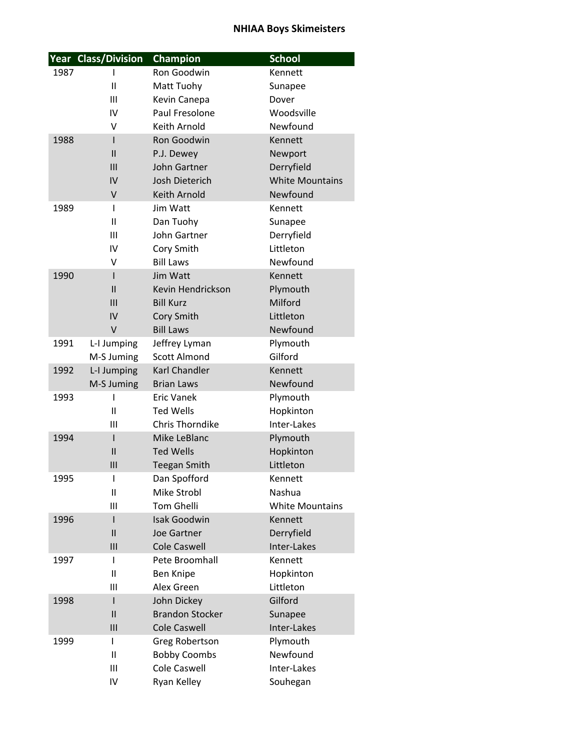|      | <b>Year Class/Division</b> | <b>Champion</b>             | <b>School</b>          |
|------|----------------------------|-----------------------------|------------------------|
| 1987 | L                          | Ron Goodwin                 | Kennett                |
|      | $\mathbf{I}$               | Matt Tuohy                  | Sunapee                |
|      | III                        | Kevin Canepa                | Dover                  |
|      | IV                         | Paul Fresolone              | Woodsville             |
|      | v                          | Keith Arnold                | Newfound               |
| 1988 | I                          | Ron Goodwin                 | Kennett                |
|      | $\mathbf{I}$               | P.J. Dewey                  | Newport                |
|      | III                        | John Gartner                | Derryfield             |
|      | IV                         | Josh Dieterich              | <b>White Mountains</b> |
|      | $\vee$                     | Keith Arnold                | Newfound               |
| 1989 | $\mathbf{I}$               | Jim Watt                    | Kennett                |
|      | $\mathbf{II}$              | Dan Tuohy                   | Sunapee                |
|      | $\mathbf{III}$             | John Gartner                | Derryfield             |
|      | IV                         | Cory Smith                  | Littleton              |
|      | V                          | <b>Bill Laws</b>            | Newfound               |
| 1990 | L                          | Jim Watt                    | Kennett                |
|      | $\mathbf{I}$               | Kevin Hendrickson           | Plymouth               |
|      | III                        | <b>Bill Kurz</b>            | Milford                |
|      | IV                         | Cory Smith                  | Littleton              |
|      | V                          | <b>Bill Laws</b>            | Newfound               |
| 1991 | L-I Jumping                | Jeffrey Lyman               | Plymouth               |
|      | M-S Juming                 | <b>Scott Almond</b>         | Gilford                |
| 1992 | L-I Jumping                | Karl Chandler               | Kennett                |
|      | M-S Juming                 | <b>Brian Laws</b>           | Newfound               |
| 1993 | ı                          | <b>Eric Vanek</b>           | Plymouth               |
|      | Ш                          | <b>Ted Wells</b>            | Hopkinton              |
|      | III                        | <b>Chris Thorndike</b>      | Inter-Lakes            |
| 1994 | $\mathsf{I}$               | Mike LeBlanc                | Plymouth               |
|      | $\mathsf{II}$              | <b>Ted Wells</b>            | Hopkinton              |
|      | III                        | <b>Teegan Smith</b>         | Littleton              |
| 1995 | I<br>$\mathsf{I}$          | Dan Spofford<br>Mike Strobl | Kennett<br>Nashua      |
|      | Ш                          | <b>Tom Ghelli</b>           | <b>White Mountains</b> |
| 1996 | I                          | <b>Isak Goodwin</b>         | Kennett                |
|      | $\mathsf{II}$              | Joe Gartner                 | Derryfield             |
|      | III                        | <b>Cole Caswell</b>         | Inter-Lakes            |
| 1997 | T                          | Pete Broomhall              | Kennett                |
|      | $\mathsf{I}$               | Ben Knipe                   | Hopkinton              |
|      | Ш                          | Alex Green                  | Littleton              |
| 1998 | I                          | John Dickey                 | Gilford                |
|      | $\mathsf{II}$              | <b>Brandon Stocker</b>      | Sunapee                |
|      | III                        | <b>Cole Caswell</b>         | Inter-Lakes            |
| 1999 | L                          | Greg Robertson              | Plymouth               |
|      | $\mathbf{I}$               | <b>Bobby Coombs</b>         | Newfound               |
|      | Ш                          | Cole Caswell                | Inter-Lakes            |
|      | IV                         | Ryan Kelley                 | Souhegan               |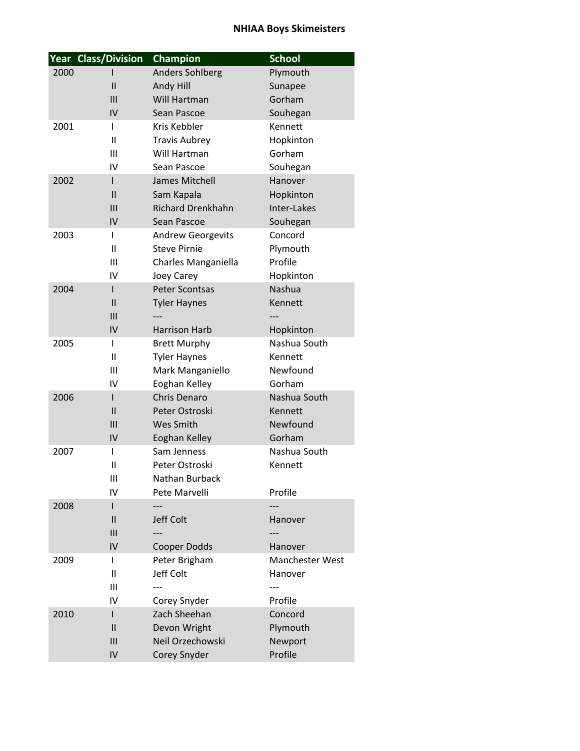|      | Year Class/Division | Champion                 | <b>School</b>   |
|------|---------------------|--------------------------|-----------------|
| 2000 |                     | <b>Anders Sohlberg</b>   | Plymouth        |
|      | $\mathbf{I}$        | Andy Hill                | Sunapee         |
|      | III                 | Will Hartman             | Gorham          |
|      | IV                  | Sean Pascoe              | Souhegan        |
| 2001 | L                   | Kris Kebbler             | Kennett         |
|      | $\mathbf{I}$        | <b>Travis Aubrey</b>     | Hopkinton       |
|      | III                 | Will Hartman             | Gorham          |
|      | IV                  | Sean Pascoe              | Souhegan        |
| 2002 | I                   | James Mitchell           | Hanover         |
|      | Ш                   | Sam Kapala               | Hopkinton       |
|      | III                 | <b>Richard Drenkhahn</b> | Inter-Lakes     |
|      | IV                  | Sean Pascoe              | Souhegan        |
| 2003 | I                   | <b>Andrew Georgevits</b> | Concord         |
|      | Ш                   | <b>Steve Pirnie</b>      | Plymouth        |
|      | Ш                   | Charles Manganiella      | Profile         |
|      | IV                  | Joey Carey               | Hopkinton       |
| 2004 | I                   | <b>Peter Scontsas</b>    | Nashua          |
|      | $\mathbf{I}$        | <b>Tyler Haynes</b>      | Kennett         |
|      | III                 |                          |                 |
|      | IV                  | <b>Harrison Harb</b>     | Hopkinton       |
| 2005 | L                   | <b>Brett Murphy</b>      | Nashua South    |
|      | $\mathbf{I}$        | <b>Tyler Haynes</b>      | Kennett         |
|      | III                 | Mark Manganiello         | Newfound        |
|      | IV                  | Eoghan Kelley            | Gorham          |
| 2006 | I                   | <b>Chris Denaro</b>      | Nashua South    |
|      | $\mathbf{I}$        | Peter Ostroski           | Kennett         |
|      | III                 | Wes Smith                | Newfound        |
|      | IV                  | Eoghan Kelley            | Gorham          |
| 2007 | I                   | Sam Jenness              | Nashua South    |
|      | $\mathbf{I}$        | Peter Ostroski           | Kennett         |
|      | Ш                   | Nathan Burback           |                 |
|      | IV                  | Pete Marvelli            | Profile         |
| 2008 | I                   |                          |                 |
|      | $\mathsf{I}$        | Jeff Colt                | Hanover         |
|      | III                 |                          |                 |
|      | IV                  | Cooper Dodds             | Hanover         |
| 2009 | I                   | Peter Brigham            | Manchester West |
|      | $\mathbf{I}$        | Jeff Colt                | Hanover         |
|      | Ш                   |                          |                 |
|      | IV                  | Corey Snyder             | Profile         |
| 2010 | I                   | Zach Sheehan             | Concord         |
|      | $\mathsf{II}$       | Devon Wright             | Plymouth        |
|      | III                 | Neil Orzechowski         | Newport         |
|      | IV                  | Corey Snyder             | Profile         |